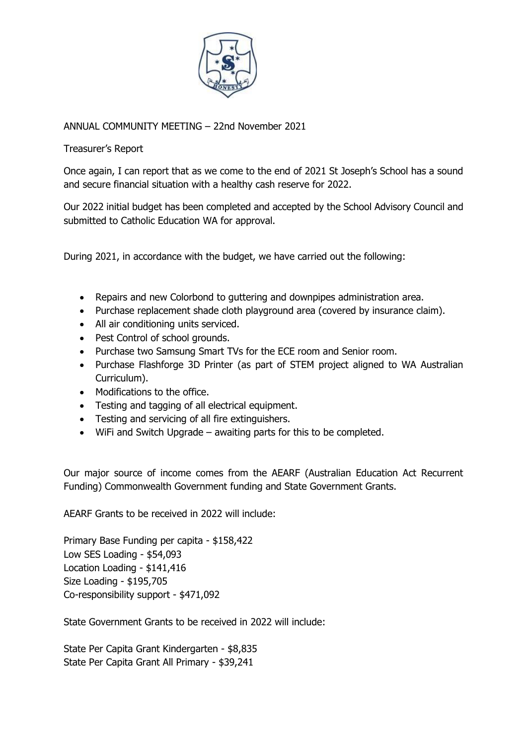

ANNUAL COMMUNITY MEETING – 22nd November 2021

Treasurer's Report

Once again, I can report that as we come to the end of 2021 St Joseph's School has a sound and secure financial situation with a healthy cash reserve for 2022.

Our 2022 initial budget has been completed and accepted by the School Advisory Council and submitted to Catholic Education WA for approval.

During 2021, in accordance with the budget, we have carried out the following:

- Repairs and new Colorbond to guttering and downpipes administration area.
- Purchase replacement shade cloth playground area (covered by insurance claim).
- All air conditioning units serviced.
- Pest Control of school grounds.
- Purchase two Samsung Smart TVs for the ECE room and Senior room.
- Purchase Flashforge 3D Printer (as part of STEM project aligned to WA Australian Curriculum).
- Modifications to the office.
- Testing and tagging of all electrical equipment.
- Testing and servicing of all fire extinguishers.
- WiFi and Switch Upgrade awaiting parts for this to be completed.

Our major source of income comes from the AEARF (Australian Education Act Recurrent Funding) Commonwealth Government funding and State Government Grants.

AEARF Grants to be received in 2022 will include:

Primary Base Funding per capita - \$158,422 Low SES Loading - \$54,093 Location Loading - \$141,416 Size Loading - \$195,705 Co-responsibility support - \$471,092

State Government Grants to be received in 2022 will include:

State Per Capita Grant Kindergarten - \$8,835 State Per Capita Grant All Primary - \$39,241